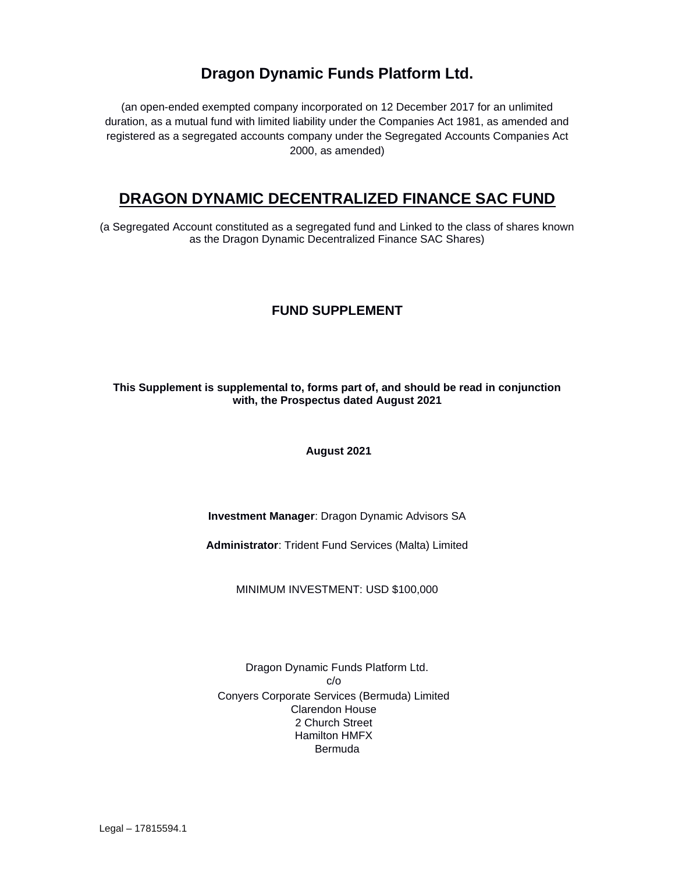# **Dragon Dynamic Funds Platform Ltd.**

(an open-ended exempted company incorporated on 12 December 2017 for an unlimited duration, as a mutual fund with limited liability under the Companies Act 1981, as amended and registered as a segregated accounts company under the Segregated Accounts Companies Act 2000, as amended)

# **DRAGON DYNAMIC DECENTRALIZED FINANCE SAC FUND**

(a Segregated Account constituted as a segregated fund and Linked to the class of shares known as the Dragon Dynamic Decentralized Finance SAC Shares)

# **FUND SUPPLEMENT**

## **This Supplement is supplemental to, forms part of, and should be read in conjunction with, the Prospectus dated August 2021**

**August 2021**

**Investment Manager**: Dragon Dynamic Advisors SA

**Administrator**: Trident Fund Services (Malta) Limited

MINIMUM INVESTMENT: USD \$100,000

Dragon Dynamic Funds Platform Ltd. c/o Conyers Corporate Services (Bermuda) Limited Clarendon House 2 Church Street Hamilton HMFX Bermuda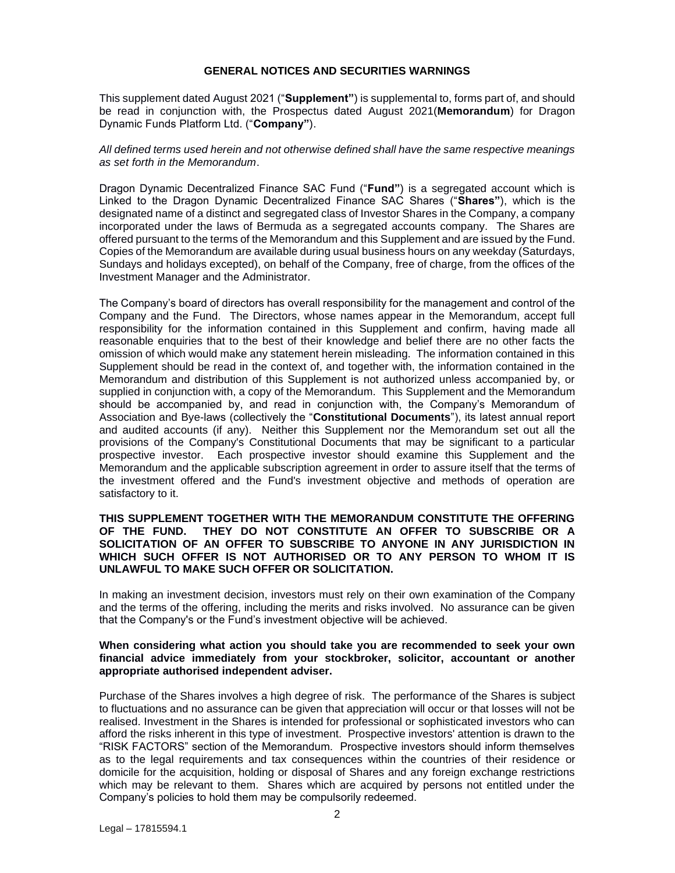#### **GENERAL NOTICES AND SECURITIES WARNINGS**

<span id="page-1-0"></span>This supplement dated August 2021 ("**Supplement"**) is supplemental to, forms part of, and should be read in conjunction with, the Prospectus dated August 2021(**Memorandum**) for Dragon Dynamic Funds Platform Ltd. ("**Company"**).

#### *All defined terms used herein and not otherwise defined shall have the same respective meanings as set forth in the Memorandum*.

Dragon Dynamic Decentralized Finance SAC Fund ("**Fund"**) is a segregated account which is Linked to the Dragon Dynamic Decentralized Finance SAC Shares ("**Shares"**), which is the designated name of a distinct and segregated class of Investor Shares in the Company, a company incorporated under the laws of Bermuda as a segregated accounts company. The Shares are offered pursuant to the terms of the Memorandum and this Supplement and are issued by the Fund. Copies of the Memorandum are available during usual business hours on any weekday (Saturdays, Sundays and holidays excepted), on behalf of the Company, free of charge, from the offices of the Investment Manager and the Administrator.

The Company's board of directors has overall responsibility for the management and control of the Company and the Fund. The Directors, whose names appear in the Memorandum, accept full responsibility for the information contained in this Supplement and confirm, having made all reasonable enquiries that to the best of their knowledge and belief there are no other facts the omission of which would make any statement herein misleading. The information contained in this Supplement should be read in the context of, and together with, the information contained in the Memorandum and distribution of this Supplement is not authorized unless accompanied by, or supplied in conjunction with, a copy of the Memorandum. This Supplement and the Memorandum should be accompanied by, and read in conjunction with, the Company's Memorandum of Association and Bye-laws (collectively the "**Constitutional Documents**"), its latest annual report and audited accounts (if any). Neither this Supplement nor the Memorandum set out all the provisions of the Company's Constitutional Documents that may be significant to a particular prospective investor. Each prospective investor should examine this Supplement and the Memorandum and the applicable subscription agreement in order to assure itself that the terms of the investment offered and the Fund's investment objective and methods of operation are satisfactory to it.

#### **THIS SUPPLEMENT TOGETHER WITH THE MEMORANDUM CONSTITUTE THE OFFERING OF THE FUND. THEY DO NOT CONSTITUTE AN OFFER TO SUBSCRIBE OR A SOLICITATION OF AN OFFER TO SUBSCRIBE TO ANYONE IN ANY JURISDICTION IN WHICH SUCH OFFER IS NOT AUTHORISED OR TO ANY PERSON TO WHOM IT IS UNLAWFUL TO MAKE SUCH OFFER OR SOLICITATION.**

In making an investment decision, investors must rely on their own examination of the Company and the terms of the offering, including the merits and risks involved. No assurance can be given that the Company's or the Fund's investment objective will be achieved.

#### **When considering what action you should take you are recommended to seek your own financial advice immediately from your stockbroker, solicitor, accountant or another appropriate authorised independent adviser.**

Purchase of the Shares involves a high degree of risk. The performance of the Shares is subject to fluctuations and no assurance can be given that appreciation will occur or that losses will not be realised. Investment in the Shares is intended for professional or sophisticated investors who can afford the risks inherent in this type of investment. Prospective investors' attention is drawn to the "RISK FACTORS" section of the Memorandum. Prospective investors should inform themselves as to the legal requirements and tax consequences within the countries of their residence or domicile for the acquisition, holding or disposal of Shares and any foreign exchange restrictions which may be relevant to them. Shares which are acquired by persons not entitled under the Company's policies to hold them may be compulsorily redeemed.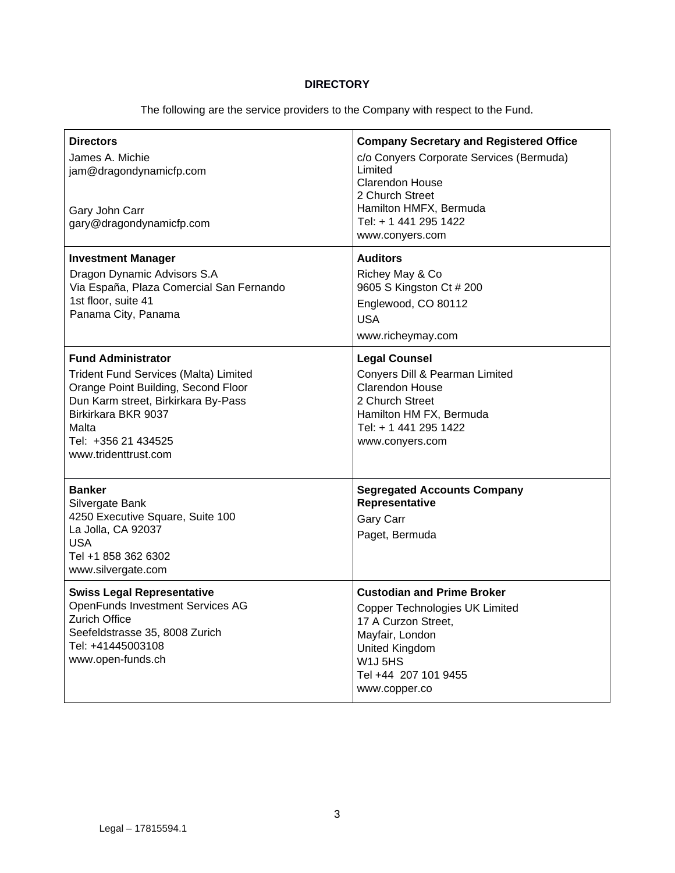# **DIRECTORY**

The following are the service providers to the Company with respect to the Fund.

| <b>Directors</b><br>James A. Michie<br>jam@dragondynamicfp.com<br>Gary John Carr<br>gary@dragondynamicfp.com                                                                                                                    | <b>Company Secretary and Registered Office</b><br>c/o Conyers Corporate Services (Bermuda)<br>Limited<br>Clarendon House<br>2 Church Street<br>Hamilton HMFX, Bermuda<br>Tel: + 1 441 295 1422<br>www.conyers.com               |
|---------------------------------------------------------------------------------------------------------------------------------------------------------------------------------------------------------------------------------|---------------------------------------------------------------------------------------------------------------------------------------------------------------------------------------------------------------------------------|
| <b>Investment Manager</b><br>Dragon Dynamic Advisors S.A<br>Via España, Plaza Comercial San Fernando<br>1st floor, suite 41<br>Panama City, Panama                                                                              | <b>Auditors</b><br>Richey May & Co<br>9605 S Kingston Ct # 200<br>Englewood, CO 80112<br><b>USA</b><br>www.richeymay.com                                                                                                        |
| <b>Fund Administrator</b><br>Trident Fund Services (Malta) Limited<br>Orange Point Building, Second Floor<br>Dun Karm street, Birkirkara By-Pass<br>Birkirkara BKR 9037<br>Malta<br>Tel: +356 21 434525<br>www.tridenttrust.com | <b>Legal Counsel</b><br>Conyers Dill & Pearman Limited<br>Clarendon House<br>2 Church Street<br>Hamilton HM FX, Bermuda<br>Tel: + 1 441 295 1422<br>www.conyers.com                                                             |
| <b>Banker</b><br>Silvergate Bank<br>4250 Executive Square, Suite 100<br>La Jolla, CA 92037<br><b>USA</b><br>Tel +1 858 362 6302<br>www.silvergate.com                                                                           | <b>Segregated Accounts Company</b><br>Representative<br><b>Gary Carr</b><br>Paget, Bermuda                                                                                                                                      |
| <b>Swiss Legal Representative</b><br><b>OpenFunds Investment Services AG</b><br><b>Zurich Office</b><br>Seefeldstrasse 35, 8008 Zurich<br>Tel: +41445003108<br>www.open-funds.ch                                                | <b>Custodian and Prime Broker</b><br><b>Copper Technologies UK Limited</b><br>17 A Curzon Street,<br>Mayfair, London<br>United Kingdom<br>W <sub>1</sub> J <sub>5</sub> H <sub>S</sub><br>Tel +44 207 101 9455<br>www.copper.co |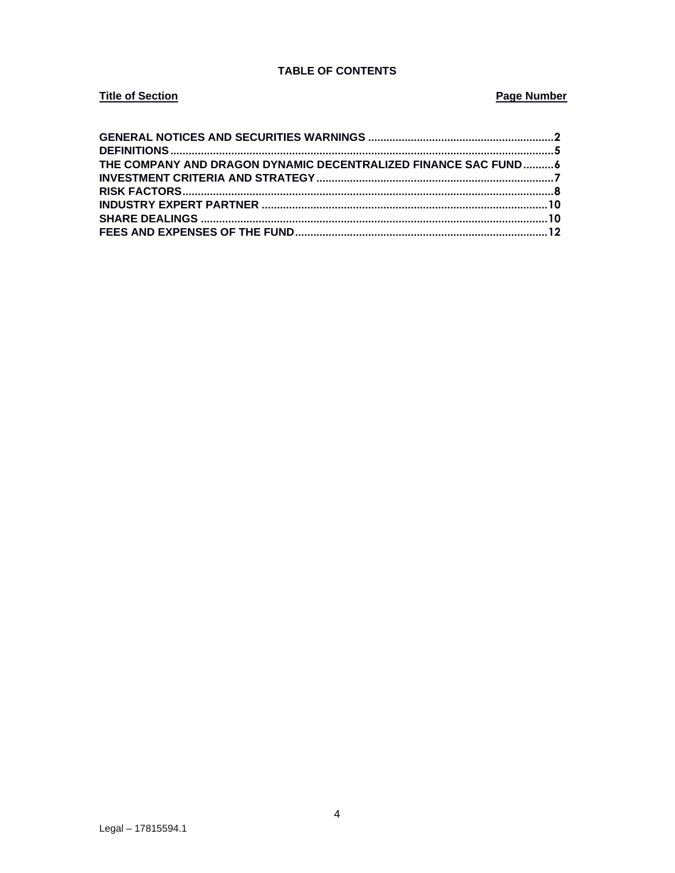# **TABLE OF CONTENTS**

# **Title of Section**

# **Page Number**

| THE COMPANY AND DRAGON DYNAMIC DECENTRALIZED FINANCE SAC FUND6 |  |
|----------------------------------------------------------------|--|
|                                                                |  |
|                                                                |  |
|                                                                |  |
|                                                                |  |
|                                                                |  |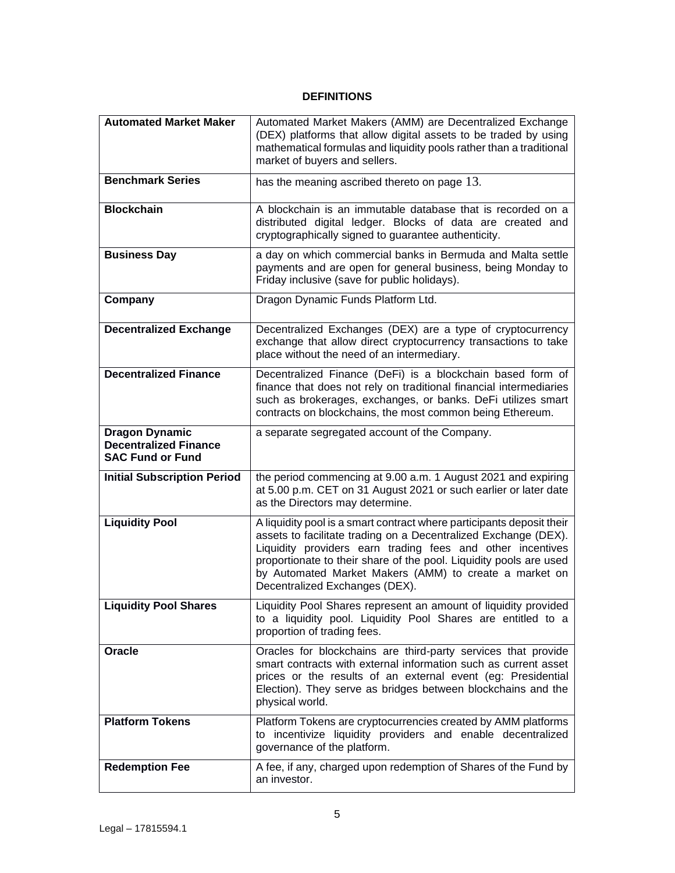# **DEFINITIONS**

<span id="page-4-0"></span>

| <b>Automated Market Maker</b>                                                    | Automated Market Makers (AMM) are Decentralized Exchange<br>(DEX) platforms that allow digital assets to be traded by using<br>mathematical formulas and liquidity pools rather than a traditional<br>market of buyers and sellers.                                                                                                                                      |
|----------------------------------------------------------------------------------|--------------------------------------------------------------------------------------------------------------------------------------------------------------------------------------------------------------------------------------------------------------------------------------------------------------------------------------------------------------------------|
| <b>Benchmark Series</b>                                                          | has the meaning ascribed thereto on page 13.                                                                                                                                                                                                                                                                                                                             |
| <b>Blockchain</b>                                                                | A blockchain is an immutable database that is recorded on a<br>distributed digital ledger. Blocks of data are created and<br>cryptographically signed to guarantee authenticity.                                                                                                                                                                                         |
| <b>Business Day</b>                                                              | a day on which commercial banks in Bermuda and Malta settle<br>payments and are open for general business, being Monday to<br>Friday inclusive (save for public holidays).                                                                                                                                                                                               |
| Company                                                                          | Dragon Dynamic Funds Platform Ltd.                                                                                                                                                                                                                                                                                                                                       |
| <b>Decentralized Exchange</b>                                                    | Decentralized Exchanges (DEX) are a type of cryptocurrency<br>exchange that allow direct cryptocurrency transactions to take<br>place without the need of an intermediary.                                                                                                                                                                                               |
| <b>Decentralized Finance</b>                                                     | Decentralized Finance (DeFi) is a blockchain based form of<br>finance that does not rely on traditional financial intermediaries<br>such as brokerages, exchanges, or banks. DeFi utilizes smart<br>contracts on blockchains, the most common being Ethereum.                                                                                                            |
| <b>Dragon Dynamic</b><br><b>Decentralized Finance</b><br><b>SAC Fund or Fund</b> | a separate segregated account of the Company.                                                                                                                                                                                                                                                                                                                            |
| <b>Initial Subscription Period</b>                                               | the period commencing at 9.00 a.m. 1 August 2021 and expiring<br>at 5.00 p.m. CET on 31 August 2021 or such earlier or later date<br>as the Directors may determine.                                                                                                                                                                                                     |
| <b>Liquidity Pool</b>                                                            | A liquidity pool is a smart contract where participants deposit their<br>assets to facilitate trading on a Decentralized Exchange (DEX).<br>Liquidity providers earn trading fees and other incentives<br>proportionate to their share of the pool. Liquidity pools are used<br>by Automated Market Makers (AMM) to create a market on<br>Decentralized Exchanges (DEX). |
| <b>Liquidity Pool Shares</b>                                                     | Liquidity Pool Shares represent an amount of liquidity provided<br>to a liquidity pool. Liquidity Pool Shares are entitled to a<br>proportion of trading fees.                                                                                                                                                                                                           |
| Oracle                                                                           | Oracles for blockchains are third-party services that provide<br>smart contracts with external information such as current asset<br>prices or the results of an external event (eg: Presidential<br>Election). They serve as bridges between blockchains and the<br>physical world.                                                                                      |
| <b>Platform Tokens</b>                                                           | Platform Tokens are cryptocurrencies created by AMM platforms<br>to incentivize liquidity providers and enable decentralized<br>governance of the platform.                                                                                                                                                                                                              |
| <b>Redemption Fee</b>                                                            | A fee, if any, charged upon redemption of Shares of the Fund by<br>an investor.                                                                                                                                                                                                                                                                                          |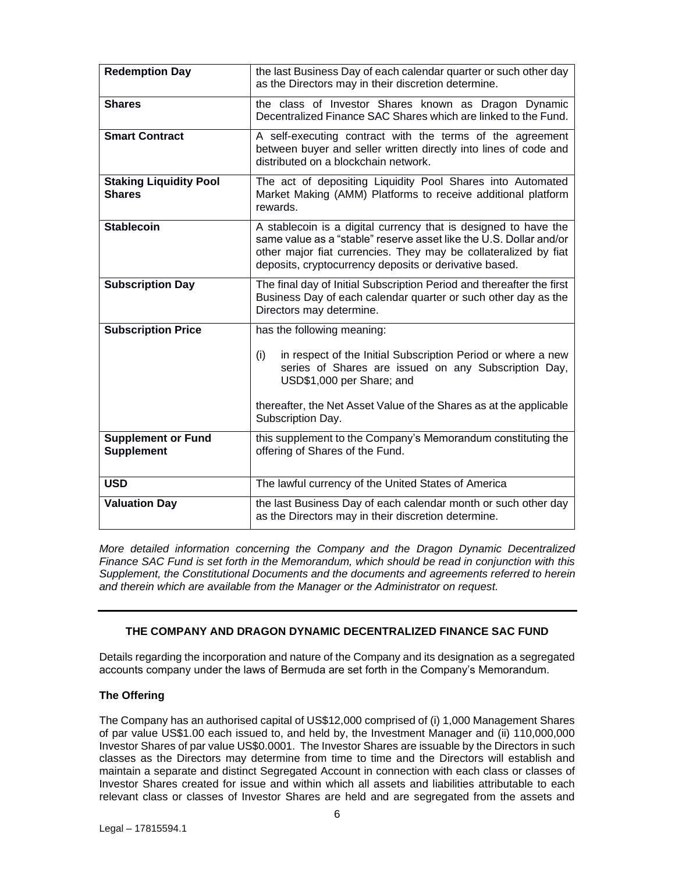| <b>Redemption Day</b>                          | the last Business Day of each calendar quarter or such other day<br>as the Directors may in their discretion determine.                                                                                                                                                           |
|------------------------------------------------|-----------------------------------------------------------------------------------------------------------------------------------------------------------------------------------------------------------------------------------------------------------------------------------|
| <b>Shares</b>                                  | the class of Investor Shares known as Dragon Dynamic<br>Decentralized Finance SAC Shares which are linked to the Fund.                                                                                                                                                            |
| <b>Smart Contract</b>                          | A self-executing contract with the terms of the agreement<br>between buyer and seller written directly into lines of code and<br>distributed on a blockchain network.                                                                                                             |
| <b>Staking Liquidity Pool</b><br><b>Shares</b> | The act of depositing Liquidity Pool Shares into Automated<br>Market Making (AMM) Platforms to receive additional platform<br>rewards.                                                                                                                                            |
| <b>Stablecoin</b>                              | A stablecoin is a digital currency that is designed to have the<br>same value as a "stable" reserve asset like the U.S. Dollar and/or<br>other major fiat currencies. They may be collateralized by fiat<br>deposits, cryptocurrency deposits or derivative based.                |
| <b>Subscription Day</b>                        | The final day of Initial Subscription Period and thereafter the first<br>Business Day of each calendar quarter or such other day as the<br>Directors may determine.                                                                                                               |
| <b>Subscription Price</b>                      | has the following meaning:<br>in respect of the Initial Subscription Period or where a new<br>(i)<br>series of Shares are issued on any Subscription Day,<br>USD\$1,000 per Share; and<br>thereafter, the Net Asset Value of the Shares as at the applicable<br>Subscription Day. |
| <b>Supplement or Fund</b><br><b>Supplement</b> | this supplement to the Company's Memorandum constituting the<br>offering of Shares of the Fund.                                                                                                                                                                                   |
| <b>USD</b>                                     | The lawful currency of the United States of America                                                                                                                                                                                                                               |
| <b>Valuation Day</b>                           | the last Business Day of each calendar month or such other day<br>as the Directors may in their discretion determine.                                                                                                                                                             |

*More detailed information concerning the Company and the Dragon Dynamic Decentralized Finance SAC Fund is set forth in the Memorandum, which should be read in conjunction with this Supplement, the Constitutional Documents and the documents and agreements referred to herein and therein which are available from the Manager or the Administrator on request.*

# <span id="page-5-0"></span>**THE COMPANY AND DRAGON DYNAMIC DECENTRALIZED FINANCE SAC FUND**

Details regarding the incorporation and nature of the Company and its designation as a segregated accounts company under the laws of Bermuda are set forth in the Company's Memorandum.

#### **The Offering**

The Company has an authorised capital of US\$12,000 comprised of (i) 1,000 Management Shares of par value US\$1.00 each issued to, and held by, the Investment Manager and (ii) 110,000,000 Investor Shares of par value US\$0.0001. The Investor Shares are issuable by the Directors in such classes as the Directors may determine from time to time and the Directors will establish and maintain a separate and distinct Segregated Account in connection with each class or classes of Investor Shares created for issue and within which all assets and liabilities attributable to each relevant class or classes of Investor Shares are held and are segregated from the assets and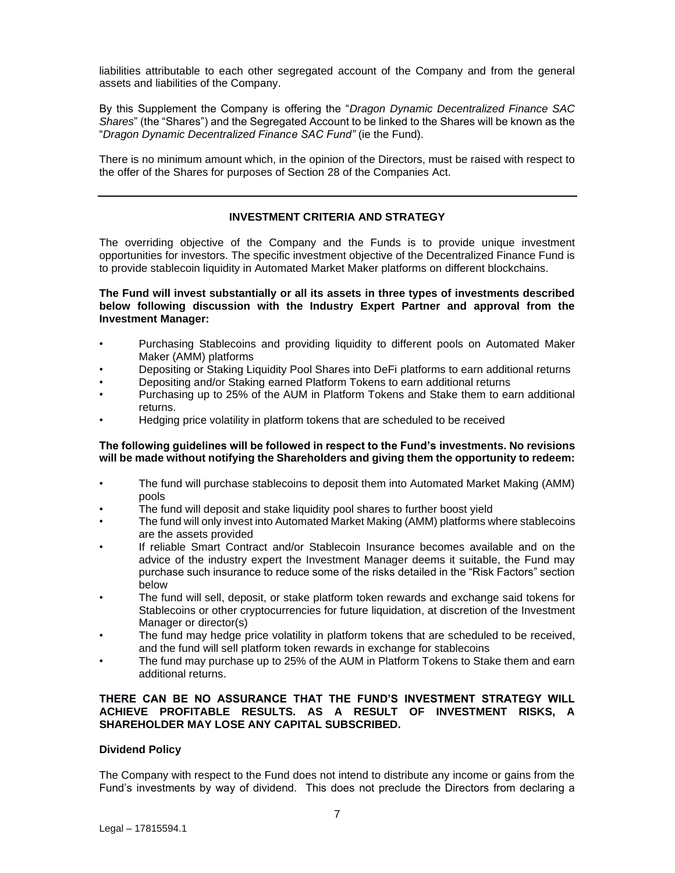liabilities attributable to each other segregated account of the Company and from the general assets and liabilities of the Company.

By this Supplement the Company is offering the "*Dragon Dynamic Decentralized Finance SAC Shares*" (the "Shares") and the Segregated Account to be linked to the Shares will be known as the "*Dragon Dynamic Decentralized Finance SAC Fund"* (ie the Fund).

There is no minimum amount which, in the opinion of the Directors, must be raised with respect to the offer of the Shares for purposes of Section 28 of the Companies Act.

## **INVESTMENT CRITERIA AND STRATEGY**

<span id="page-6-0"></span>The overriding objective of the Company and the Funds is to provide unique investment opportunities for investors. The specific investment objective of the Decentralized Finance Fund is to provide stablecoin liquidity in Automated Market Maker platforms on different blockchains.

**The Fund will invest substantially or all its assets in three types of investments described below following discussion with the Industry Expert Partner and approval from the Investment Manager:**

- Purchasing Stablecoins and providing liquidity to different pools on Automated Maker Maker (AMM) platforms
- Depositing or Staking Liquidity Pool Shares into DeFi platforms to earn additional returns
- Depositing and/or Staking earned Platform Tokens to earn additional returns
- Purchasing up to 25% of the AUM in Platform Tokens and Stake them to earn additional returns.
- Hedging price volatility in platform tokens that are scheduled to be received

#### **The following guidelines will be followed in respect to the Fund's investments. No revisions will be made without notifying the Shareholders and giving them the opportunity to redeem:**

- The fund will purchase stablecoins to deposit them into Automated Market Making (AMM) pools
- The fund will deposit and stake liquidity pool shares to further boost yield
- The fund will only invest into Automated Market Making (AMM) platforms where stablecoins are the assets provided
- If reliable Smart Contract and/or Stablecoin Insurance becomes available and on the advice of the industry expert the Investment Manager deems it suitable, the Fund may purchase such insurance to reduce some of the risks detailed in the "Risk Factors" section below
- The fund will sell, deposit, or stake platform token rewards and exchange said tokens for Stablecoins or other cryptocurrencies for future liquidation, at discretion of the Investment Manager or director(s)
- The fund may hedge price volatility in platform tokens that are scheduled to be received, and the fund will sell platform token rewards in exchange for stablecoins
- The fund may purchase up to 25% of the AUM in Platform Tokens to Stake them and earn additional returns.

### **THERE CAN BE NO ASSURANCE THAT THE FUND'S INVESTMENT STRATEGY WILL ACHIEVE PROFITABLE RESULTS. AS A RESULT OF INVESTMENT RISKS, A SHAREHOLDER MAY LOSE ANY CAPITAL SUBSCRIBED.**

#### **Dividend Policy**

The Company with respect to the Fund does not intend to distribute any income or gains from the Fund's investments by way of dividend. This does not preclude the Directors from declaring a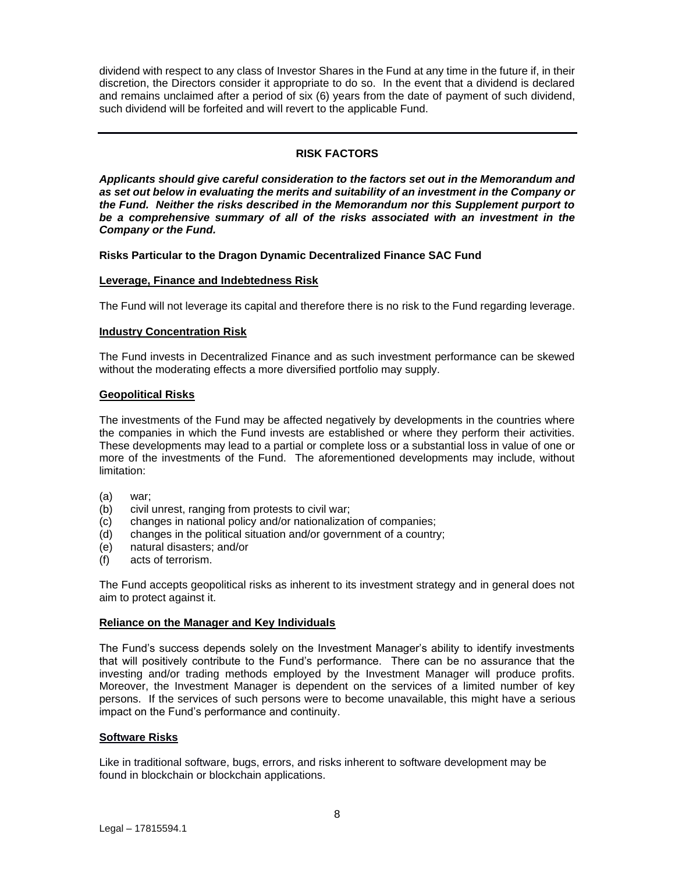dividend with respect to any class of Investor Shares in the Fund at any time in the future if, in their discretion, the Directors consider it appropriate to do so. In the event that a dividend is declared and remains unclaimed after a period of six (6) years from the date of payment of such dividend, such dividend will be forfeited and will revert to the applicable Fund.

# **RISK FACTORS**

<span id="page-7-0"></span>*Applicants should give careful consideration to the factors set out in the Memorandum and as set out below in evaluating the merits and suitability of an investment in the Company or the Fund. Neither the risks described in the Memorandum nor this Supplement purport to be a comprehensive summary of all of the risks associated with an investment in the Company or the Fund.*

#### **Risks Particular to the Dragon Dynamic Decentralized Finance SAC Fund**

#### **Leverage, Finance and Indebtedness Risk**

The Fund will not leverage its capital and therefore there is no risk to the Fund regarding leverage.

#### **Industry Concentration Risk**

The Fund invests in Decentralized Finance and as such investment performance can be skewed without the moderating effects a more diversified portfolio may supply.

## **Geopolitical Risks**

The investments of the Fund may be affected negatively by developments in the countries where the companies in which the Fund invests are established or where they perform their activities. These developments may lead to a partial or complete loss or a substantial loss in value of one or more of the investments of the Fund. The aforementioned developments may include, without limitation:

- (a) war;
- (b) civil unrest, ranging from protests to civil war;
- (c) changes in national policy and/or nationalization of companies;
- (d) changes in the political situation and/or government of a country;
- (e) natural disasters; and/or
- (f) acts of terrorism.

The Fund accepts geopolitical risks as inherent to its investment strategy and in general does not aim to protect against it.

#### **Reliance on the Manager and Key Individuals**

The Fund's success depends solely on the Investment Manager's ability to identify investments that will positively contribute to the Fund's performance. There can be no assurance that the investing and/or trading methods employed by the Investment Manager will produce profits. Moreover, the Investment Manager is dependent on the services of a limited number of key persons. If the services of such persons were to become unavailable, this might have a serious impact on the Fund's performance and continuity.

#### **Software Risks**

Like in traditional software, bugs, errors, and risks inherent to software development may be found in blockchain or blockchain applications.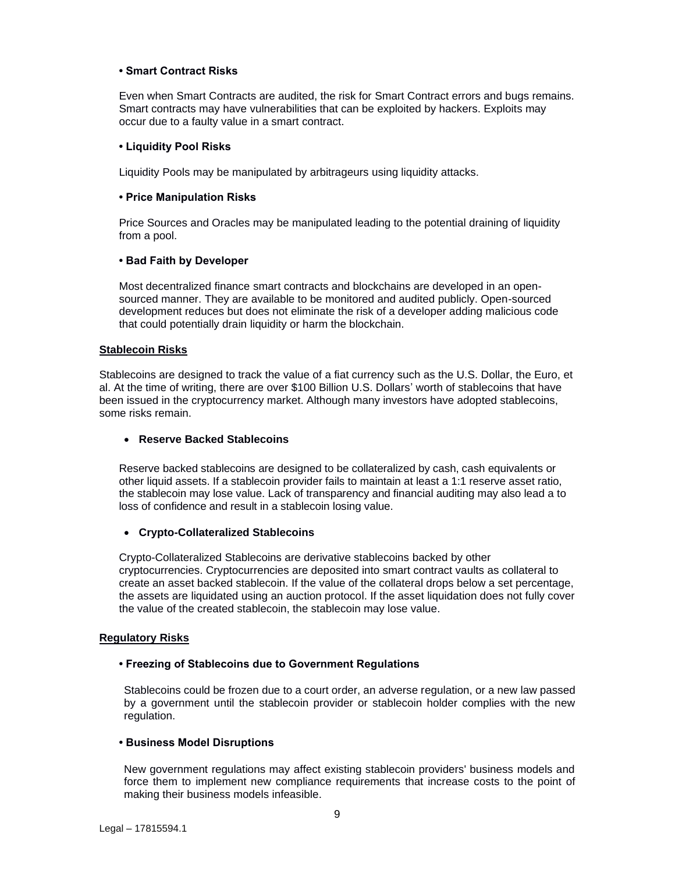### **• Smart Contract Risks**

Even when Smart Contracts are audited, the risk for Smart Contract errors and bugs remains. Smart contracts may have vulnerabilities that can be exploited by hackers. Exploits may occur due to a faulty value in a smart contract.

### **• Liquidity Pool Risks**

Liquidity Pools may be manipulated by arbitrageurs using liquidity attacks.

## **• Price Manipulation Risks**

Price Sources and Oracles may be manipulated leading to the potential draining of liquidity from a pool.

## **• Bad Faith by Developer**

Most decentralized finance smart contracts and blockchains are developed in an opensourced manner. They are available to be monitored and audited publicly. Open-sourced development reduces but does not eliminate the risk of a developer adding malicious code that could potentially drain liquidity or harm the blockchain.

#### **Stablecoin Risks**

Stablecoins are designed to track the value of a fiat currency such as the U.S. Dollar, the Euro, et al. At the time of writing, there are over \$100 Billion U.S. Dollars' worth of stablecoins that have been issued in the cryptocurrency market. Although many investors have adopted stablecoins, some risks remain.

### • **Reserve Backed Stablecoins**

Reserve backed stablecoins are designed to be collateralized by cash, cash equivalents or other liquid assets. If a stablecoin provider fails to maintain at least a 1:1 reserve asset ratio, the stablecoin may lose value. Lack of transparency and financial auditing may also lead a to loss of confidence and result in a stablecoin losing value.

#### • **Crypto-Collateralized Stablecoins**

Crypto-Collateralized Stablecoins are derivative stablecoins backed by other cryptocurrencies. Cryptocurrencies are deposited into smart contract vaults as collateral to create an asset backed stablecoin. If the value of the collateral drops below a set percentage, the assets are liquidated using an auction protocol. If the asset liquidation does not fully cover the value of the created stablecoin, the stablecoin may lose value.

#### **Regulatory Risks**

# **• Freezing of Stablecoins due to Government Regulations**

Stablecoins could be frozen due to a court order, an adverse regulation, or a new law passed by a government until the stablecoin provider or stablecoin holder complies with the new regulation.

# **• Business Model Disruptions**

New government regulations may affect existing stablecoin providers' business models and force them to implement new compliance requirements that increase costs to the point of making their business models infeasible.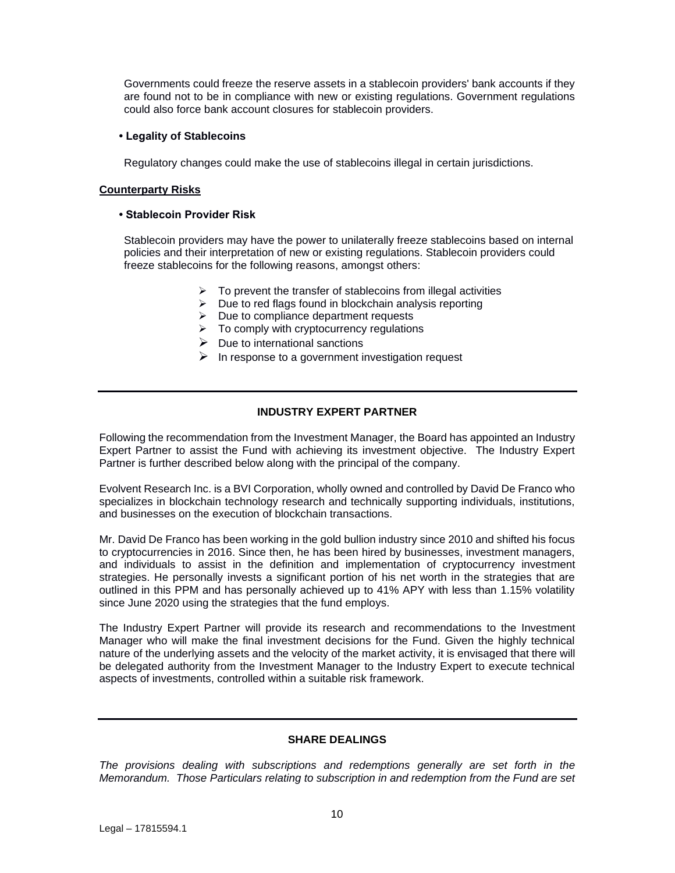Governments could freeze the reserve assets in a stablecoin providers' bank accounts if they are found not to be in compliance with new or existing regulations. Government regulations could also force bank account closures for stablecoin providers.

## **• Legality of Stablecoins**

Regulatory changes could make the use of stablecoins illegal in certain jurisdictions.

### **Counterparty Risks**

### **• Stablecoin Provider Risk**

Stablecoin providers may have the power to unilaterally freeze stablecoins based on internal policies and their interpretation of new or existing regulations. Stablecoin providers could freeze stablecoins for the following reasons, amongst others:

- $\triangleright$  To prevent the transfer of stablecoins from illegal activities
- ➢ Due to red flags found in blockchain analysis reporting
- $\triangleright$  Due to compliance department requests
- $\triangleright$  To comply with cryptocurrency regulations
- $\triangleright$  Due to international sanctions
- $\triangleright$  In response to a government investigation request

# **INDUSTRY EXPERT PARTNER**

<span id="page-9-0"></span>Following the recommendation from the Investment Manager, the Board has appointed an Industry Expert Partner to assist the Fund with achieving its investment objective. The Industry Expert Partner is further described below along with the principal of the company.

Evolvent Research Inc. is a BVI Corporation, wholly owned and controlled by David De Franco who specializes in blockchain technology research and technically supporting individuals, institutions, and businesses on the execution of blockchain transactions.

Mr. David De Franco has been working in the gold bullion industry since 2010 and shifted his focus to cryptocurrencies in 2016. Since then, he has been hired by businesses, investment managers, and individuals to assist in the definition and implementation of cryptocurrency investment strategies. He personally invests a significant portion of his net worth in the strategies that are outlined in this PPM and has personally achieved up to 41% APY with less than 1.15% volatility since June 2020 using the strategies that the fund employs.

The Industry Expert Partner will provide its research and recommendations to the Investment Manager who will make the final investment decisions for the Fund. Given the highly technical nature of the underlying assets and the velocity of the market activity, it is envisaged that there will be delegated authority from the Investment Manager to the Industry Expert to execute technical aspects of investments, controlled within a suitable risk framework.

# **SHARE DEALINGS**

<span id="page-9-1"></span>*The provisions dealing with subscriptions and redemptions generally are set forth in the Memorandum. Those Particulars relating to subscription in and redemption from the Fund are set*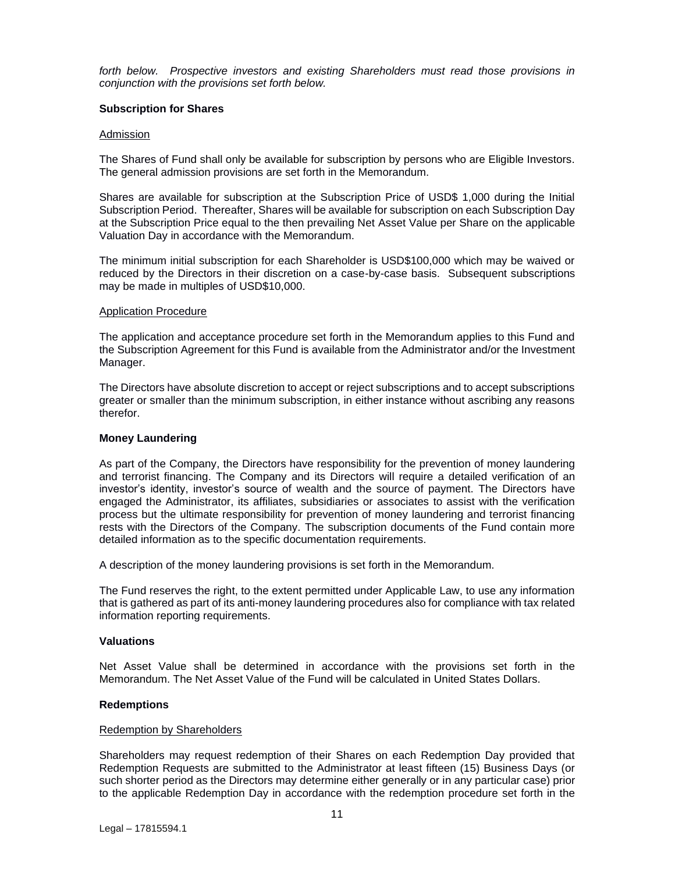*forth below. Prospective investors and existing Shareholders must read those provisions in conjunction with the provisions set forth below.*

#### **Subscription for Shares**

#### Admission

The Shares of Fund shall only be available for subscription by persons who are Eligible Investors. The general admission provisions are set forth in the Memorandum.

Shares are available for subscription at the Subscription Price of USD\$ 1,000 during the Initial Subscription Period. Thereafter, Shares will be available for subscription on each Subscription Day at the Subscription Price equal to the then prevailing Net Asset Value per Share on the applicable Valuation Day in accordance with the Memorandum.

The minimum initial subscription for each Shareholder is USD\$100,000 which may be waived or reduced by the Directors in their discretion on a case-by-case basis. Subsequent subscriptions may be made in multiples of USD\$10,000.

#### Application Procedure

The application and acceptance procedure set forth in the Memorandum applies to this Fund and the Subscription Agreement for this Fund is available from the Administrator and/or the Investment Manager.

The Directors have absolute discretion to accept or reject subscriptions and to accept subscriptions greater or smaller than the minimum subscription, in either instance without ascribing any reasons therefor.

#### **Money Laundering**

As part of the Company, the Directors have responsibility for the prevention of money laundering and terrorist financing. The Company and its Directors will require a detailed verification of an investor's identity, investor's source of wealth and the source of payment. The Directors have engaged the Administrator, its affiliates, subsidiaries or associates to assist with the verification process but the ultimate responsibility for prevention of money laundering and terrorist financing rests with the Directors of the Company. The subscription documents of the Fund contain more detailed information as to the specific documentation requirements.

A description of the money laundering provisions is set forth in the Memorandum.

The Fund reserves the right, to the extent permitted under Applicable Law, to use any information that is gathered as part of its anti-money laundering procedures also for compliance with tax related information reporting requirements.

#### **Valuations**

Net Asset Value shall be determined in accordance with the provisions set forth in the Memorandum. The Net Asset Value of the Fund will be calculated in United States Dollars.

#### **Redemptions**

#### Redemption by Shareholders

Shareholders may request redemption of their Shares on each Redemption Day provided that Redemption Requests are submitted to the Administrator at least fifteen (15) Business Days (or such shorter period as the Directors may determine either generally or in any particular case) prior to the applicable Redemption Day in accordance with the redemption procedure set forth in the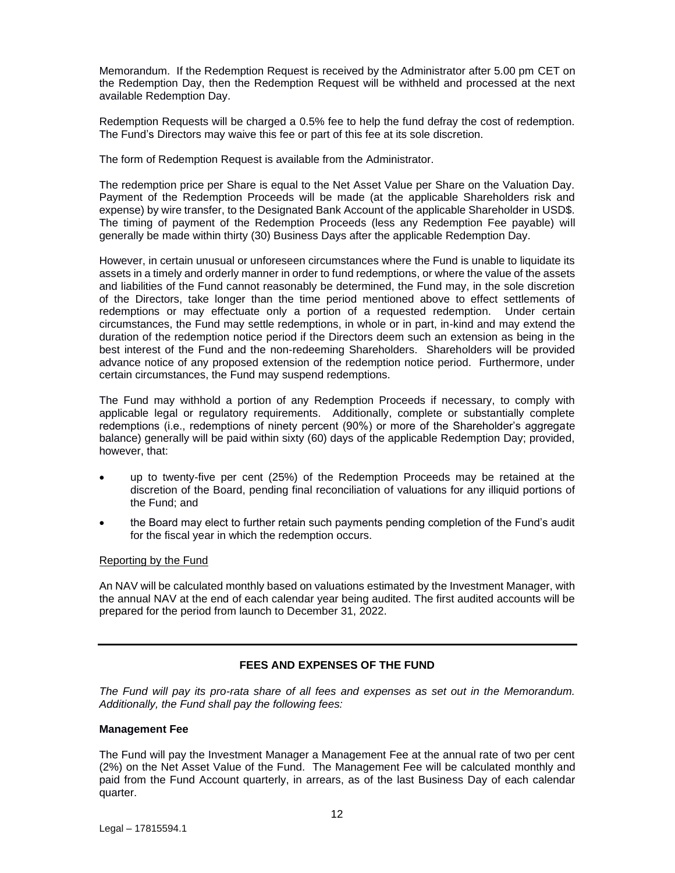Memorandum. If the Redemption Request is received by the Administrator after 5.00 pm CET on the Redemption Day, then the Redemption Request will be withheld and processed at the next available Redemption Day.

Redemption Requests will be charged a 0.5% fee to help the fund defray the cost of redemption. The Fund's Directors may waive this fee or part of this fee at its sole discretion.

The form of Redemption Request is available from the Administrator.

The redemption price per Share is equal to the Net Asset Value per Share on the Valuation Day. Payment of the Redemption Proceeds will be made (at the applicable Shareholders risk and expense) by wire transfer, to the Designated Bank Account of the applicable Shareholder in USD\$. The timing of payment of the Redemption Proceeds (less any Redemption Fee payable) will generally be made within thirty (30) Business Days after the applicable Redemption Day.

However, in certain unusual or unforeseen circumstances where the Fund is unable to liquidate its assets in a timely and orderly manner in order to fund redemptions, or where the value of the assets and liabilities of the Fund cannot reasonably be determined, the Fund may, in the sole discretion of the Directors, take longer than the time period mentioned above to effect settlements of redemptions or may effectuate only a portion of a requested redemption. Under certain circumstances, the Fund may settle redemptions, in whole or in part, in-kind and may extend the duration of the redemption notice period if the Directors deem such an extension as being in the best interest of the Fund and the non-redeeming Shareholders. Shareholders will be provided advance notice of any proposed extension of the redemption notice period. Furthermore, under certain circumstances, the Fund may suspend redemptions.

The Fund may withhold a portion of any Redemption Proceeds if necessary, to comply with applicable legal or regulatory requirements. Additionally, complete or substantially complete redemptions (i.e., redemptions of ninety percent (90%) or more of the Shareholder's aggregate balance) generally will be paid within sixty (60) days of the applicable Redemption Day; provided, however, that:

- up to twenty-five per cent (25%) of the Redemption Proceeds may be retained at the discretion of the Board, pending final reconciliation of valuations for any illiquid portions of the Fund; and
- the Board may elect to further retain such payments pending completion of the Fund's audit for the fiscal year in which the redemption occurs.

#### Reporting by the Fund

An NAV will be calculated monthly based on valuations estimated by the Investment Manager, with the annual NAV at the end of each calendar year being audited. The first audited accounts will be prepared for the period from launch to December 31, 2022.

# **FEES AND EXPENSES OF THE FUND**

<span id="page-11-0"></span>*The Fund will pay its pro-rata share of all fees and expenses as set out in the Memorandum. Additionally, the Fund shall pay the following fees:*

#### **Management Fee**

The Fund will pay the Investment Manager a Management Fee at the annual rate of two per cent (2%) on the Net Asset Value of the Fund. The Management Fee will be calculated monthly and paid from the Fund Account quarterly, in arrears, as of the last Business Day of each calendar quarter.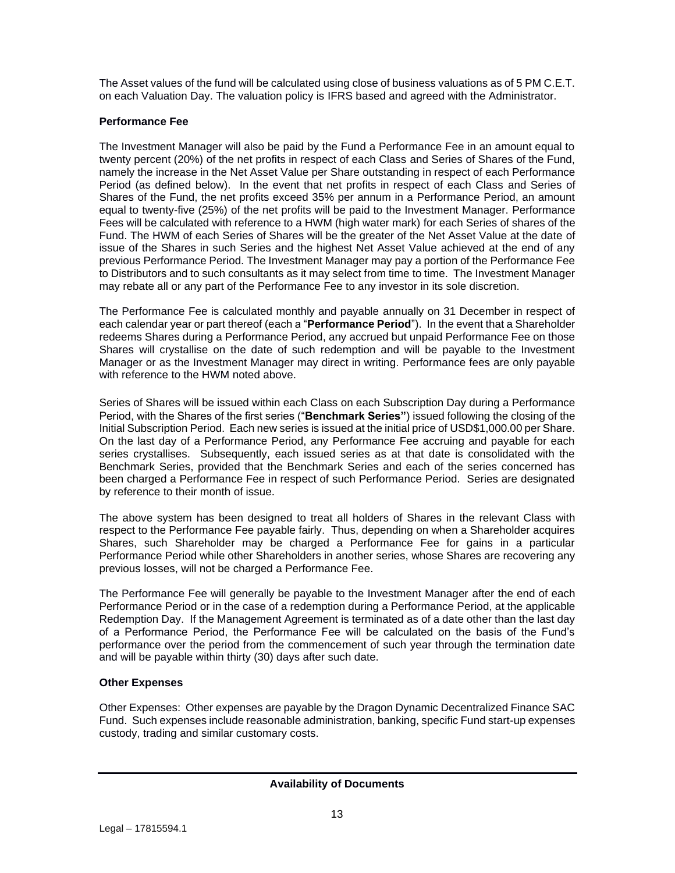The Asset values of the fund will be calculated using close of business valuations as of 5 PM C.E.T. on each Valuation Day. The valuation policy is IFRS based and agreed with the Administrator.

## **Performance Fee**

The Investment Manager will also be paid by the Fund a Performance Fee in an amount equal to twenty percent (20%) of the net profits in respect of each Class and Series of Shares of the Fund, namely the increase in the Net Asset Value per Share outstanding in respect of each Performance Period (as defined below). In the event that net profits in respect of each Class and Series of Shares of the Fund, the net profits exceed 35% per annum in a Performance Period, an amount equal to twenty-five (25%) of the net profits will be paid to the Investment Manager. Performance Fees will be calculated with reference to a HWM (high water mark) for each Series of shares of the Fund. The HWM of each Series of Shares will be the greater of the Net Asset Value at the date of issue of the Shares in such Series and the highest Net Asset Value achieved at the end of any previous Performance Period. The Investment Manager may pay a portion of the Performance Fee to Distributors and to such consultants as it may select from time to time. The Investment Manager may rebate all or any part of the Performance Fee to any investor in its sole discretion.

The Performance Fee is calculated monthly and payable annually on 31 December in respect of each calendar year or part thereof (each a "**Performance Period**"). In the event that a Shareholder redeems Shares during a Performance Period, any accrued but unpaid Performance Fee on those Shares will crystallise on the date of such redemption and will be payable to the Investment Manager or as the Investment Manager may direct in writing. Performance fees are only payable with reference to the HWM noted above.

<span id="page-12-0"></span>Series of Shares will be issued within each Class on each Subscription Day during a Performance Period, with the Shares of the first series ("**Benchmark Series"**) issued following the closing of the Initial Subscription Period. Each new series is issued at the initial price of USD\$1,000.00 per Share. On the last day of a Performance Period, any Performance Fee accruing and payable for each series crystallises. Subsequently, each issued series as at that date is consolidated with the Benchmark Series, provided that the Benchmark Series and each of the series concerned has been charged a Performance Fee in respect of such Performance Period. Series are designated by reference to their month of issue.

The above system has been designed to treat all holders of Shares in the relevant Class with respect to the Performance Fee payable fairly. Thus, depending on when a Shareholder acquires Shares, such Shareholder may be charged a Performance Fee for gains in a particular Performance Period while other Shareholders in another series, whose Shares are recovering any previous losses, will not be charged a Performance Fee.

The Performance Fee will generally be payable to the Investment Manager after the end of each Performance Period or in the case of a redemption during a Performance Period, at the applicable Redemption Day. If the Management Agreement is terminated as of a date other than the last day of a Performance Period, the Performance Fee will be calculated on the basis of the Fund's performance over the period from the commencement of such year through the termination date and will be payable within thirty (30) days after such date.

# **Other Expenses**

Other Expenses: Other expenses are payable by the Dragon Dynamic Decentralized Finance SAC Fund. Such expenses include reasonable administration, banking, specific Fund start-up expenses custody, trading and similar customary costs.